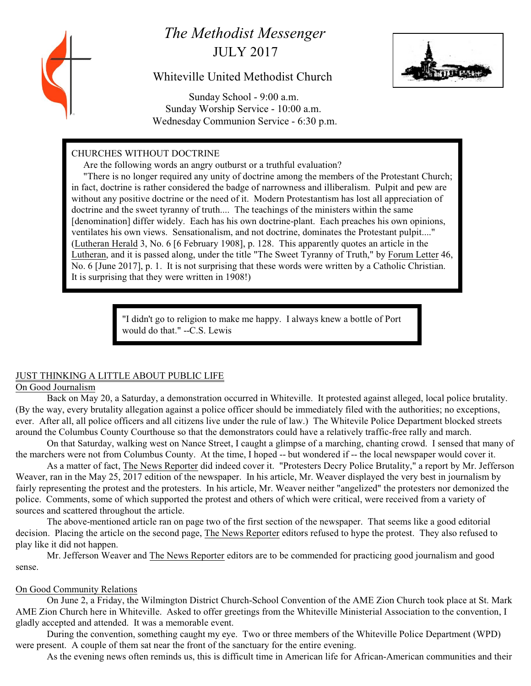# *The Methodist Messenger* JULY 2017

# Whiteville United Methodist Church



 Sunday School - 9:00 a.m. Sunday Worship Service - 10:00 a.m. Wednesday Communion Service - 6:30 p.m.

# CHURCHES WITHOUT DOCTRINE

Are the following words an angry outburst or a truthful evaluation?

 "There is no longer required any unity of doctrine among the members of the Protestant Church; in fact, doctrine is rather considered the badge of narrowness and illiberalism. Pulpit and pew are without any positive doctrine or the need of it. Modern Protestantism has lost all appreciation of doctrine and the sweet tyranny of truth.... The teachings of the ministers within the same [denomination] differ widely. Each has his own doctrine-plant. Each preaches his own opinions, ventilates his own views. Sensationalism, and not doctrine, dominates the Protestant pulpit...." (Lutheran Herald 3, No. 6 [6 February 1908], p. 128. This apparently quotes an article in the Lutheran, and it is passed along, under the title "The Sweet Tyranny of Truth," by Forum Letter 46, No. 6 [June 2017], p. 1. It is not surprising that these words were written by a Catholic Christian. It is surprising that they were written in 1908!)

> "I didn't go to religion to make me happy. I always knew a bottle of Port would do that." --C.S. Lewis

# JUST THINKING A LITTLE ABOUT PUBLIC LIFE

# On Good Journalism

Back on May 20, a Saturday, a demonstration occurred in Whiteville. It protested against alleged, local police brutality. (By the way, every brutality allegation against a police officer should be immediately filed with the authorities; no exceptions, ever. After all, all police officers and all citizens live under the rule of law.) The Whitevile Police Department blocked streets around the Columbus County Courthouse so that the demonstrators could have a relatively traffic-free rally and march.

On that Saturday, walking west on Nance Street, I caught a glimpse of a marching, chanting crowd. I sensed that many of the marchers were not from Columbus County. At the time, I hoped -- but wondered if -- the local newspaper would cover it.

As a matter of fact, The News Reporter did indeed cover it. "Protesters Decry Police Brutality," a report by Mr. Jefferson Weaver, ran in the May 25, 2017 edition of the newspaper. In his article, Mr. Weaver displayed the very best in journalism by fairly representing the protest and the protesters. In his article, Mr. Weaver neither "angelized" the protesters nor demonized the police. Comments, some of which supported the protest and others of which were critical, were received from a variety of sources and scattered throughout the article.

The above-mentioned article ran on page two of the first section of the newspaper. That seems like a good editorial decision. Placing the article on the second page, The News Reporter editors refused to hype the protest. They also refused to play like it did not happen.

Mr. Jefferson Weaver and The News Reporter editors are to be commended for practicing good journalism and good sense.

# On Good Community Relations

On June 2, a Friday, the Wilmington District Church-School Convention of the AME Zion Church took place at St. Mark AME Zion Church here in Whiteville. Asked to offer greetings from the Whiteville Ministerial Association to the convention, I gladly accepted and attended. It was a memorable event.

During the convention, something caught my eye. Two or three members of the Whiteville Police Department (WPD) were present. A couple of them sat near the front of the sanctuary for the entire evening.

As the evening news often reminds us, this is difficult time in American life for African-American communities and their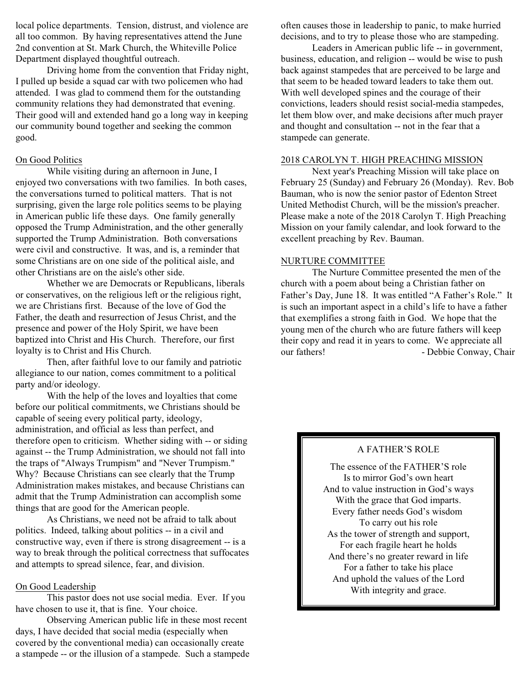local police departments. Tension, distrust, and violence are all too common. By having representatives attend the June 2nd convention at St. Mark Church, the Whiteville Police Department displayed thoughtful outreach.

Driving home from the convention that Friday night, I pulled up beside a squad car with two policemen who had attended. I was glad to commend them for the outstanding community relations they had demonstrated that evening. Their good will and extended hand go a long way in keeping our community bound together and seeking the common good.

#### On Good Politics

While visiting during an afternoon in June, I enjoyed two conversations with two families. In both cases, the conversations turned to political matters. That is not surprising, given the large role politics seems to be playing in American public life these days. One family generally opposed the Trump Administration, and the other generally supported the Trump Administration. Both conversations were civil and constructive. It was, and is, a reminder that some Christians are on one side of the political aisle, and other Christians are on the aisle's other side.

Whether we are Democrats or Republicans, liberals or conservatives, on the religious left or the religious right, we are Christians first. Because of the love of God the Father, the death and resurrection of Jesus Christ, and the presence and power of the Holy Spirit, we have been baptized into Christ and His Church. Therefore, our first loyalty is to Christ and His Church.

Then, after faithful love to our family and patriotic allegiance to our nation, comes commitment to a political party and/or ideology.

With the help of the loves and loyalties that come before our political commitments, we Christians should be capable of seeing every political party, ideology, administration, and official as less than perfect, and therefore open to criticism. Whether siding with -- or siding against -- the Trump Administration, we should not fall into the traps of "Always Trumpism" and "Never Trumpism." Why? Because Christians can see clearly that the Trump Administration makes mistakes, and because Christians can admit that the Trump Administration can accomplish some things that are good for the American people.

As Christians, we need not be afraid to talk about politics. Indeed, talking about politics -- in a civil and constructive way, even if there is strong disagreement -- is a way to break through the political correctness that suffocates and attempts to spread silence, fear, and division.

#### On Good Leadership

This pastor does not use social media. Ever. If you have chosen to use it, that is fine. Your choice.

Observing American public life in these most recent days, I have decided that social media (especially when covered by the conventional media) can occasionally create a stampede -- or the illusion of a stampede. Such a stampede often causes those in leadership to panic, to make hurried decisions, and to try to please those who are stampeding.

Leaders in American public life -- in government, business, education, and religion -- would be wise to push back against stampedes that are perceived to be large and that seem to be headed toward leaders to take them out. With well developed spines and the courage of their convictions, leaders should resist social-media stampedes, let them blow over, and make decisions after much prayer and thought and consultation -- not in the fear that a stampede can generate.

#### 2018 CAROLYN T. HIGH PREACHING MISSION

Next year's Preaching Mission will take place on February 25 (Sunday) and February 26 (Monday). Rev. Bob Bauman, who is now the senior pastor of Edenton Street United Methodist Church, will be the mission's preacher. Please make a note of the 2018 Carolyn T. High Preaching Mission on your family calendar, and look forward to the excellent preaching by Rev. Bauman.

#### NURTURE COMMITTEE

The Nurture Committee presented the men of the church with a poem about being a Christian father on Father's Day, June 18. It was entitled "A Father's Role." It is such an important aspect in a child's life to have a father that exemplifies a strong faith in God. We hope that the young men of the church who are future fathers will keep their copy and read it in years to come. We appreciate all our fathers! - Debbie Conway, Chair

#### A FATHER'S ROLE

The essence of the FATHER'S role Is to mirror God's own heart And to value instruction in God's ways With the grace that God imparts. Every father needs God's wisdom To carry out his role As the tower of strength and support, For each fragile heart he holds And there's no greater reward in life For a father to take his place And uphold the values of the Lord With integrity and grace.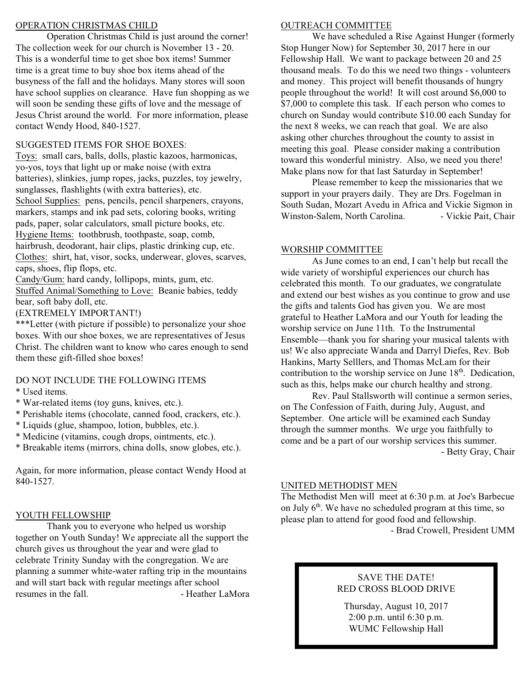#### OPERATION CHRISTMAS CHILD

Operation Christmas Child is just around the corner! The collection week for our church is November 13 - 20. This is a wonderful time to get shoe box items! Summer time is a great time to buy shoe box items ahead of the busyness of the fall and the holidays. Many stores will soon have school supplies on clearance. Have fun shopping as we will soon be sending these gifts of love and the message of Jesus Christ around the world. For more information, please contact Wendy Hood, 840-1527.

### SUGGESTED ITEMS FOR SHOE BOXES:

Toys: small cars, balls, dolls, plastic kazoos, harmonicas, yo-yos, toys that light up or make noise (with extra batteries), slinkies, jump ropes, jacks, puzzles, toy jewelry, sunglasses, flashlights (with extra batteries), etc. School Supplies: pens, pencils, pencil sharpeners, crayons, markers, stamps and ink pad sets, coloring books, writing pads, paper, solar calculators, small picture books, etc. Hygiene Items: toothbrush, toothpaste, soap, comb, hairbrush, deodorant, hair clips, plastic drinking cup, etc. Clothes: shirt, hat, visor, socks, underwear, gloves, scarves, caps, shoes, flip flops, etc.

Candy/Gum: hard candy, lollipops, mints, gum, etc. Stuffed Animal/Something to Love: Beanie babies, teddy bear, soft baby doll, etc.

(EXTREMELY IMPORTANT!)

\*\*\*Letter (with picture if possible) to personalize your shoe boxes. With our shoe boxes, we are representatives of Jesus Christ. The children want to know who cares enough to send them these gift-filled shoe boxes!

#### DO NOT INCLUDE THE FOLLOWING ITEMS

- \* Used items.
- \* War-related items (toy guns, knives, etc.).
- \* Perishable items (chocolate, canned food, crackers, etc.).
- \* Liquids (glue, shampoo, lotion, bubbles, etc.).
- \* Medicine (vitamins, cough drops, ointments, etc.).
- \* Breakable items (mirrors, china dolls, snow globes, etc.).

Again, for more information, please contact Wendy Hood at 840-1527.

# YOUTH FELLOWSHIP

Thank you to everyone who helped us worship together on Youth Sunday! We appreciate all the support the church gives us throughout the year and were glad to celebrate Trinity Sunday with the congregation. We are planning a summer white-water rafting trip in the mountains and will start back with regular meetings after school resumes in the fall. The state of the Heather LaMora

#### OUTREACH COMMITTEE

We have scheduled a Rise Against Hunger (formerly Stop Hunger Now) for September 30, 2017 here in our Fellowship Hall. We want to package between 20 and 25 thousand meals. To do this we need two things - volunteers and money. This project will benefit thousands of hungry people throughout the world! It will cost around \$6,000 to \$7,000 to complete this task. If each person who comes to church on Sunday would contribute \$10.00 each Sunday for the next 8 weeks, we can reach that goal. We are also asking other churches throughout the county to assist in meeting this goal. Please consider making a contribution toward this wonderful ministry. Also, we need you there! Make plans now for that last Saturday in September!

Please remember to keep the missionaries that we support in your prayers daily. They are Drs. Fogelman in South Sudan, Mozart Avedu in Africa and Vickie Sigmon in Winston-Salem, North Carolina. - Vickie Pait, Chair

### WORSHIP COMMITTEE

As June comes to an end, I can't help but recall the wide variety of worshipful experiences our church has celebrated this month. To our graduates, we congratulate and extend our best wishes as you continue to grow and use the gifts and talents God has given you. We are most grateful to Heather LaMora and our Youth for leading the worship service on June 11th. To the Instrumental Ensemble—thank you for sharing your musical talents with us! We also appreciate Wanda and Darryl Diefes, Rev. Bob Hankins, Marty Selllers, and Thomas McLam for their contribution to the worship service on June  $18<sup>th</sup>$ . Dedication, such as this, helps make our church healthy and strong.

Rev. Paul Stallsworth will continue a sermon series, on The Confession of Faith, during July, August, and September. One article will be examined each Sunday through the summer months. We urge you faithfully to come and be a part of our worship services this summer. - Betty Gray, Chair

#### UNITED METHODIST MEN

The Methodist Men will meet at 6:30 p.m. at Joe's Barbecue on July 6<sup>th</sup>. We have no scheduled program at this time, so please plan to attend for good food and fellowship. - Brad Crowell, President UMM

# SAVE THE DATE! RED CROSS BLOOD DRIVE

Thursday, August 10, 2017 2:00 p.m. until 6:30 p.m. WUMC Fellowship Hall